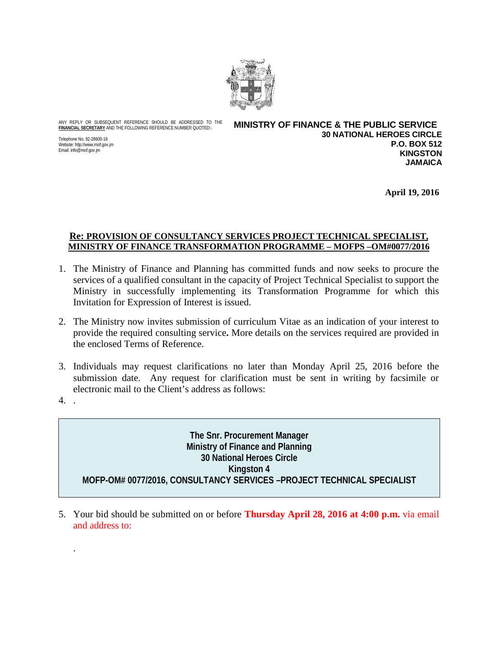

ANY REPLY OR SUBSEQUENT REFERENCE SHOULD BE ADDRESSED TO THE **FINANCIAL SECRETARY** AND THE FOLLOWING REFERENCE NUMBER QUOTED:-

Telephone No. 92-28600-16 Website: http://www.mof.gov.jm Email: info@mof.gov.jm

**MINISTRY OF FINANCE & THE PUBLIC SERVICE 30 NATIONAL HEROES CIRCLE P.O. BOX 512 KINGSTON JAMAICA**

**April 19, 2016**

#### **Re: PROVISION OF CONSULTANCY SERVICES PROJECT TECHNICAL SPECIALIST, MINISTRY OF FINANCE TRANSFORMATION PROGRAMME – MOFPS –OM#0077/2016**

- 1. The Ministry of Finance and Planning has committed funds and now seeks to procure the services of a qualified consultant in the capacity of Project Technical Specialist to support the Ministry in successfully implementing its Transformation Programme for which this Invitation for Expression of Interest is issued.
- 2. The Ministry now invites submission of curriculum Vitae as an indication of your interest to provide the required consulting service**.** More details on the services required are provided in the enclosed Terms of Reference.
- 3. Individuals may request clarifications no later than Monday April 25, 2016 before the submission date. Any request for clarification must be sent in writing by facsimile or electronic mail to the Client's address as follows:
- 4. .

.

**The Snr. Procurement Manager Ministry of Finance and Planning 30 National Heroes Circle Kingston 4 MOFP-OM# 0077/2016, CONSULTANCY SERVICES –PROJECT TECHNICAL SPECIALIST**

5. Your bid should be submitted on or before **Thursday April 28, 2016 at 4:00 p.m.** via email and address to: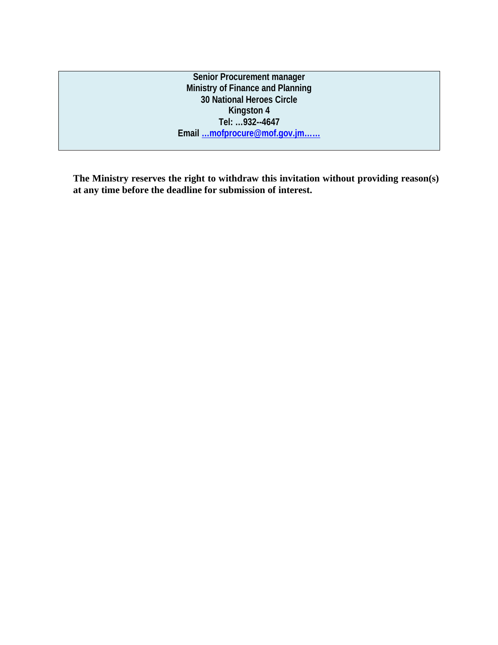**Senior Procurement manager Ministry of Finance and Planning 30 National Heroes Circle Kingston 4 Tel: …932--4647 Email …mofprocure@mof.gov.jm……**

**The Ministry reserves the right to withdraw this invitation without providing reason(s) at any time before the deadline for submission of interest.**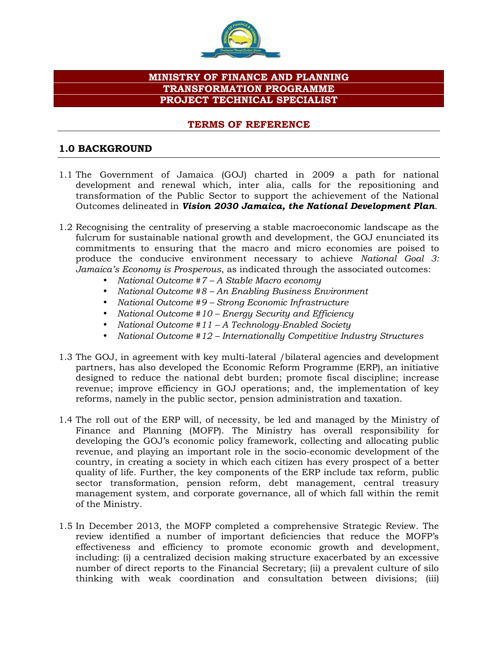

### **MINISTRY OF FINANCE AND PLANNING TRANSFORMATION PROGRAMME PROJECT TECHNICAL SPECIALIST**

#### **TERMS OF REFERENCE**

### **1.0 BACKGROUND**

- 1.1 The Government of Jamaica (GOJ) charted in 2009 a path for national development and renewal which, inter alia, calls for the repositioning and transformation of the Public Sector to support the achievement of the National Outcomes delineated in *Vision 2030 Jamaica, the National Development Plan*.
- 1.2 Recognising the centrality of preserving a stable macroeconomic landscape as the fulcrum for sustainable national growth and development, the GOJ enunciated its commitments to ensuring that the macro and micro economies are poised to produce the conducive environment necessary to achieve *National Goal 3: Jamaica's Economy is Prosperous*, as indicated through the associated outcomes:
	- *National Outcome #7 –A Stable Macro economy*
	- *National Outcome #8 –An Enabling Business Environment*
	- *National Outcome #9 –Strong Economic Infrastructure*
	- *National Outcome #10 – Energy Security and Efficiency*
	- *National Outcome #11 – A Technology-Enabled Society*
	- *National Outcome #12 – Internationally Competitive Industry Structures*
- 1.3 The GOJ, in agreement with key multi-lateral /bilateral agencies and development partners, has also developed the Economic Reform Programme (ERP), an initiative designed to reduce the national debt burden; promote fiscal discipline; increase revenue; improve efficiency in GOJ operations; and, the implementation of key reforms, namely in the public sector, pension administration and taxation.
- 1.4 The roll out of the ERP will, of necessity, be led and managed by the Ministry of Finance and Planning (MOFP). The Ministry has overall responsibility for developing the GOJ's economic policy framework, collecting and allocating public revenue, and playing an important role in the socio-economic development of the country, in creating a society in which each citizen has every prospect of a better quality of life. Further, the key components of the ERP include tax reform, public sector transformation, pension reform, debt management, central treasury management system, and corporate governance, all of which fall within the remit of the Ministry.
- 1.5 In December 2013, the MOFP completed a comprehensive Strategic Review. The review identified a number of important deficiencies that reduce the MOFP's effectiveness and efficiency to promote economic growth and development, including: (i) a centralized decision making structure exacerbated by an excessive number of direct reports to the Financial Secretary; (ii) a prevalent culture of silo thinking with weak coordination and consultation between divisions; (iii)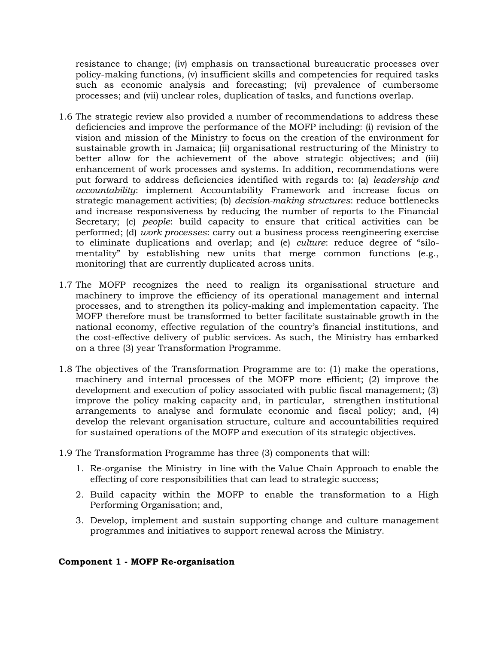resistance to change; (iv) emphasis on transactional bureaucratic processes over policy-making functions, (v) insufficient skills and competencies for required tasks such as economic analysis and forecasting; (vi) prevalence of cumbersome processes; and (vii) unclear roles, duplication of tasks, and functions overlap.

- 1.6 The strategic review also provided a number of recommendations to address these deficiencies and improve the performance of the MOFP including: (i) revision of the vision and mission of the Ministry to focus on the creation of the environment for sustainable growth in Jamaica; (ii) organisational restructuring of the Ministry to better allow for the achievement of the above strategic objectives; and (iii) enhancement of work processes and systems. In addition, recommendations were put forward to address deficiencies identified with regards to: (a) *leadership and accountability*: implement Accountability Framework and increase focus on strategic management activities; (b) *decision-making structures*: reduce bottlenecks and increase responsiveness by reducing the number of reports to the Financial Secretary; (c) *people*: build capacity to ensure that critical activities can be performed; (d) *work processes*: carry out a business process reengineering exercise to eliminate duplications and overlap; and (e) *culture*: reduce degree of "silo mentality" by establishing new units that merge common functions (e.g., monitoring) that are currently duplicated across units.
- 1.7 The MOFP recognizes the need to realign its organisational structure and machinery to improve the efficiency of its operational management and internal processes, and to strengthen its policy-making and implementation capacity. The MOFP therefore must be transformed to better facilitate sustainable growth in the national economy, effective regulation of the country's financial institutions, and the cost-effective delivery of public services. As such, the Ministry has embarked on a three (3) year Transformation Programme.
- 1.8 The objectives of the Transformation Programme are to: (1) make the operations, machinery and internal processes of the MOFP more efficient; (2) improve the development and execution of policy associated with public fiscal management; (3) improve the policy making capacity and, in particular, strengthen institutional arrangements to analyse and formulate economic and fiscal policy; and, (4) develop the relevant organisation structure, culture and accountabilities required for sustained operations of the MOFP and execution of its strategic objectives.
- 1.9 The Transformation Programme has three (3) components that will:
	- 1. Re-organise the Ministry in line with the Value Chain Approach to enable the effecting of core responsibilities that can lead to strategic success;
	- 2. Build capacity within the MOFP to enable the transformation to a High Performing Organisation; and,
	- 3. Develop, implement and sustain supporting change and culture management programmes and initiatives to support renewal across the Ministry.

#### **Component 1 - MOFP Re-organisation**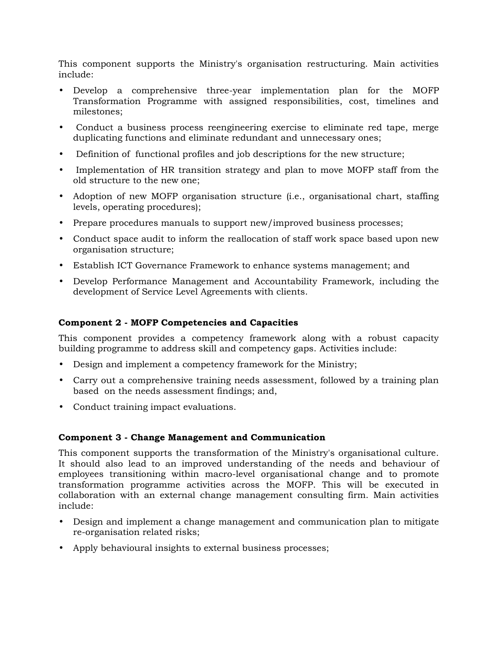This component supports the Ministry's organisation restructuring. Main activities include:

- Develop a comprehensive three-year implementation plan for the MOFP Transformation Programme with assigned responsibilities, cost, timelines and milestones;
- Conduct a business process reengineering exercise to eliminate red tape, merge duplicating functions and eliminate redundant and unnecessary ones;
- Definition of functional profiles and job descriptions for the new structure;
- Implementation of HR transition strategy and plan to move MOFP staff from the old structure to the new one;
- Adoption of new MOFP organisation structure (i.e., organisational chart, staffing levels, operating procedures);
- Prepare procedures manuals to support new/improved business processes;
- Conduct space audit to inform the reallocation of staff work space based upon new organisation structure;
- Establish ICT Governance Framework to enhance systems management; and
- Develop Performance Management and Accountability Framework, including the development of Service Level Agreements with clients.

### **Component 2 - MOFP Competencies and Capacities**

This component provides a competency framework along with a robust capacity building programme to address skill and competency gaps. Activities include:

- Design and implement a competency framework for the Ministry;
- Carry out a comprehensive training needs assessment, followed by a training plan based on the needs assessment findings; and,
- Conduct training impact evaluations.

#### **Component 3 - Change Management and Communication**

This component supports the transformation of the Ministry's organisational culture. It should also lead to an improved understanding of the needs and behaviour of employees transitioning within macro-level organisational change and to promote transformation programme activities across the MOFP. This will be executed in collaboration with an external change management consulting firm. Main activities include:

- Design and implement a change management and communication plan to mitigate re-organisation related risks;
- Apply behavioural insights to external business processes;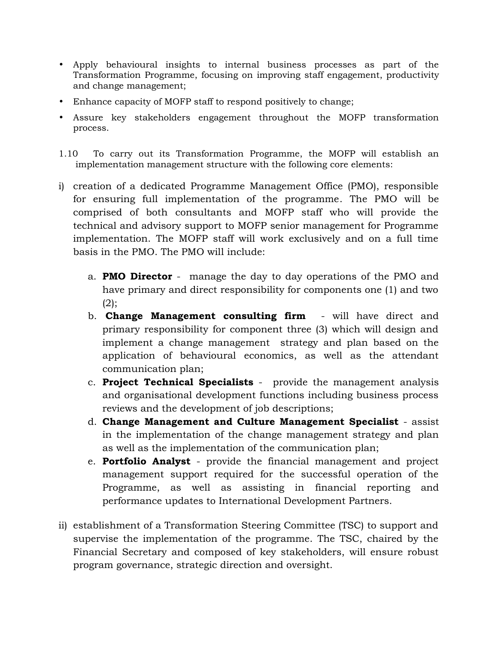- Apply behavioural insights to internal business processes as part of the Transformation Programme, focusing on improving staff engagement, productivity and change management;
- Enhance capacity of MOFP staff to respond positively to change;
- Assure key stakeholders engagement throughout the MOFP transformation process.
- 1.10 To carry out its Transformation Programme, the MOFP will establish an implementation management structure with the following core elements:
- i) creation of a dedicated Programme Management Office (PMO), responsible for ensuring full implementation of the programme. The PMO will be comprised of both consultants and MOFP staff who will provide the technical and advisory support to MOFP senior management for Programme implementation. The MOFP staff will work exclusively and on a full time basis in the PMO. The PMO will include:
	- a. **PMO Director** manage the day to day operations of the PMO and have primary and direct responsibility for components one (1) and two  $(2)$ :
	- b. **Change Management consulting firm** will have direct and primary responsibility for component three (3) which will design and implement a change management strategy and plan based on the application of behavioural economics, as well as the attendant communication plan;
	- c. **Project Technical Specialists** provide the management analysis and organisational development functions including business process reviews and the development of job descriptions;
	- d. **Change Management and Culture Management Specialist** assist in the implementation of the change management strategy and plan as well as the implementation of the communication plan;
	- e. **Portfolio Analyst** provide the financial management and project management support required for the successful operation of the Programme, as well as assisting in financial reporting and performance updates to International Development Partners.
- ii) establishment of a Transformation Steering Committee (TSC) to support and supervise the implementation of the programme. The TSC, chaired by the Financial Secretary and composed of key stakeholders, will ensure robust program governance, strategic direction and oversight.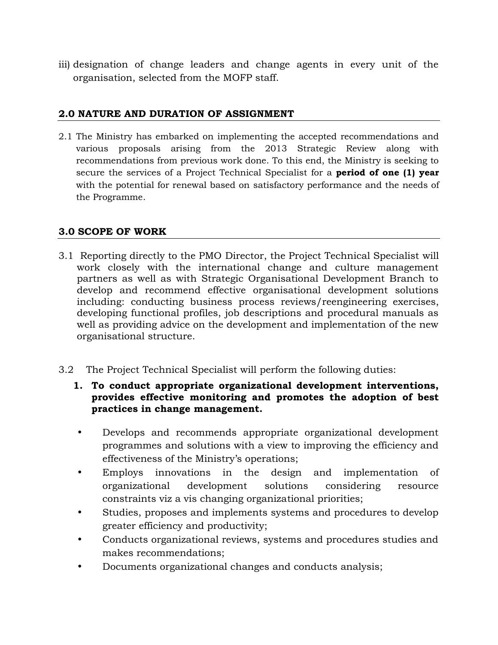iii) designation of change leaders and change agents in every unit of the organisation, selected from the MOFP staff.

### **2.0 NATURE AND DURATION OF ASSIGNMENT**

2.1 The Ministry has embarked on implementing the accepted recommendations and various proposals arising from the 2013 Strategic Review along with recommendations from previous work done. To this end, the Ministry is seeking to secure the services of a Project Technical Specialist for a **period of one (1) year** with the potential for renewal based on satisfactory performance and the needs of the Programme.

### **3.0 SCOPE OF WORK**

- 3.1 Reporting directly to the PMO Director, the Project Technical Specialist will work closely with the international change and culture management partners as well as with Strategic Organisational Development Branch to develop and recommend effective organisational development solutions including: conducting business process reviews/reengineering exercises, developing functional profiles, job descriptions and procedural manuals as well as providing advice on the development and implementation of the new organisational structure.
- 3.2 The Project Technical Specialist will perform the following duties:
	- **1. To conduct appropriate organizational development interventions, provides effective monitoring and promotes the adoption of best practices in change management.**
	- Develops and recommends appropriate organizational development programmes and solutions with a view to improving the efficiency and effectiveness of the Ministry's operations;
	- Employs innovations in the design and implementation of organizational development solutions considering resource constraints viz a vis changing organizational priorities;
	- Studies, proposes and implements systems and procedures to develop greater efficiency and productivity;
	- Conducts organizational reviews, systems and procedures studies and makes recommendations;
	- Documents organizational changes and conducts analysis;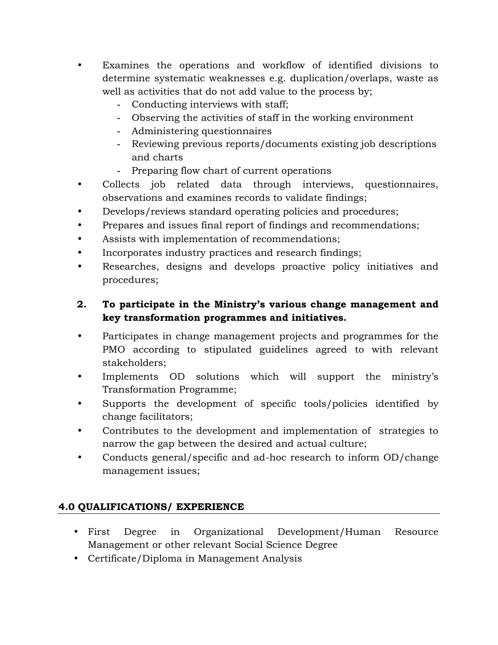- Examines the operations and workflow of identified divisions to determine systematic weaknesses e.g. duplication/overlaps, waste as well as activities that do not add value to the process by;
	- **-** Conducting interviews with staff;
	- **-** Observing the activities of staff in the working environment
	- **-** Administering questionnaires
	- **-** Reviewing previous reports/documents existing job descriptions and charts
	- **-** Preparing flow chart of current operations
- Collects job related data through interviews, questionnaires, observations and examines records to validate findings;
- Develops/reviews standard operating policies and procedures;
- Prepares and issues final report of findings and recommendations;
- Assists with implementation of recommendations;
- Incorporates industry practices and research findings;
- Researches, designs and develops proactive policy initiatives and procedures;

## **2. To participate in the Ministry's various change management and key transformation programmes and initiatives.**

- Participates in change management projects and programmes for the PMO according to stipulated guidelines agreed to with relevant stakeholders;
- Implements OD solutions which will support the ministry's Transformation Programme;
- Supports the development of specific tools/policies identified by change facilitators;
- Contributes to the development and implementation of strategies to narrow the gap between the desired and actual culture;
- Conducts general/specific and ad-hoc research to inform OD/change management issues;

# **4.0 QUALIFICATIONS/ EXPERIENCE**

- First Degree in Organizational Development/Human Resource Management or other relevant Social Science Degree
- Certificate/Diploma in Management Analysis